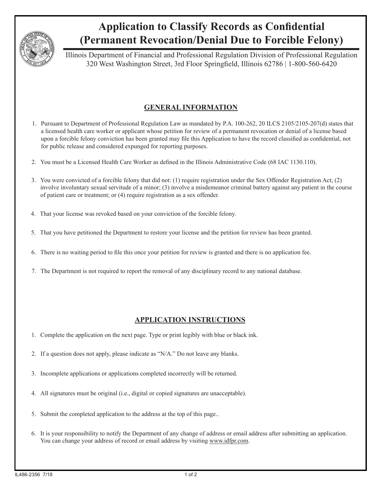

## **Application to Classify Records as Confidential (Permanent Revocation/Denial Due to Forcible Felony)**

Illinois Department of Financial and Professional Regulation Division of Professional Regulation 320 West Washington Street, 3rd Floor Springfield, Illinois 62786 | 1-800-560-6420

## **GENERAL INFORMATION**

- 1. Pursuant to Department of Professional Regulation Law as mandated by P.A. 100-262, 20 ILCS 2105/2105-207(d) states that a licensed health care worker or applicant whose petition for review of a permanent revocation or denial of a license based upon a forcible felony conviction has been granted may file this Application to have the record classified as confidential, not for public release and considered expunged for reporting purposes.
- 2. You must be a Licensed Health Care Worker as defined in the Illinois Administrative Code (68 IAC 1130.110).
- 3. You were convicted of a forcible felony that did not: (1) require registration under the Sex Offender Registration Act; (2) involve involuntary sexual servitude of a minor; (3) involve a misdemeanor criminal battery against any patient in the course of patient care or treatment; or (4) require registration as a sex offender.
- 4. That your license was revoked based on your conviction of the forcible felony.
- 5. That you have petitioned the Department to restore your license and the petition for review has been granted.
- 6. There is no waiting period to file this once your petition for review is granted and there is no application fee.
- 7. The Department is not required to report the removal of any disciplinary record to any national database.

## **APPLICATION INSTRUCTIONS**

- 1. Complete the application on the next page. Type or print legibly with blue or black ink.
- 2. If a question does not apply, please indicate as "N/A." Do not leave any blanks.
- 3. Incomplete applications or applications completed incorrectly will be returned.
- 4. All signatures must be original (i.e., digital or copied signatures are unacceptable).
- 5. Submit the completed application to the address at the top of this page..
- 6. It is your responsibility to notify the Department of any change of address or email address after submitting an application. You can change your address of record or email address by visiting www.idfpr.com.